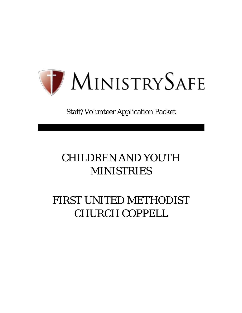

Staff/Volunteer Application Packet

# CHILDREN AND YOUTH **MINISTRIES**

# FIRST UNITED METHODIST CHURCH COPPELL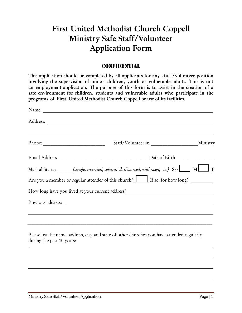## First United Methodist Church Coppell Ministry Safe Staff/Volunteer Application Form

### **CONFIDENTIAL**

This application should be completed by all applicants for any staff/volunteer position involving the supervision of minor children, youth or vulnerable adults. This is not an employment application. The purpose of this form is to assist in the creation of a safe environment for children, students and vulnerable adults who participate in the programs of First United Methodist Church Coppell or use of its facilities.

|                           |                                                                                                  | Ministry |
|---------------------------|--------------------------------------------------------------------------------------------------|----------|
|                           |                                                                                                  |          |
|                           | Marital Status: ______ (single, married, separated, divorced, widowed, etc.) Sex _____ M _____ F |          |
|                           | Are you a member or regular attender of this church? If so, for how long?                        |          |
|                           | How long have you lived at your current address? ________________________________                |          |
|                           |                                                                                                  |          |
|                           |                                                                                                  |          |
| during the past 10 years: | Please list the name, address, city and state of other churches you have attended regularly      |          |
|                           |                                                                                                  |          |
|                           |                                                                                                  |          |
|                           |                                                                                                  |          |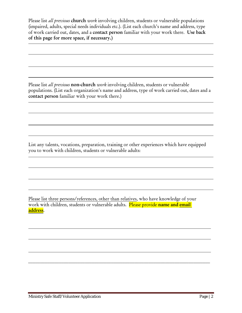Please list *all previous* church *work* involving children, students or vulnerable populations (impaired, adults, special needs individuals etc.). (List each church's name and address, type of work carried out, dates, and a contact person familiar with your work there. Use back of this page for more space, if necessary.)

Please list *all previous* non-church *work* involving children, students or vulnerable populations. (List each organization's name and address, type of work carried out, dates and a contact person familiar with your work there.)

List any talents, vocations, preparation, training or other experiences which have equipped you to work with children, students or vulnerable adults:

Please list three persons/references, other than relatives, who have knowledge of your work with children, students or vulnerable adults. Please provide name and email address.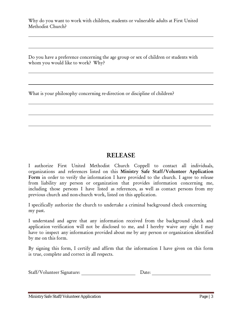Why do you want to work with children, students or vulnerable adults at First United Methodist Church?

Do you have a preference concerning the age group or sex of children or students with whom you would like to work? Why?

What is your philosophy concerning re-direction or discipline of children?

### RELEASE

I authorize First United Methodist Church Coppell to contact all individuals, organizations and references listed on this Ministry Safe Staff/Volunteer Application Form in order to verify the information I have provided to the church. I agree to release from liability any person or organization that provides information concerning me, including those persons I have listed as references, as well as contact persons from my previous church and non-church work, listed on this application.

I specifically authorize the church to undertake a criminal background check concerning my past.

I understand and agree that any information received from the background check and application verification will not be disclosed to me, and I hereby waive any right I may have to inspect any information provided about me by any person or organization identified by me on this form.

By signing this form, I certify and affirm that the information I have given on this form is true, complete and correct in all respects.

| Staff/Volunteer Signature: | $\bm{\mathcal{Q}}$ ate: $\bm{\mathcal{Q}}$ |
|----------------------------|--------------------------------------------|
|----------------------------|--------------------------------------------|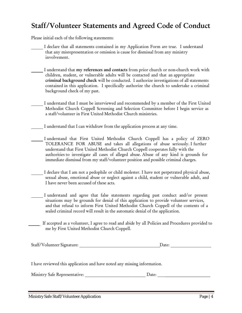## Staff/Volunteer Statements and Agreed Code of Conduct

Please initial each of the following statements:

- I declare that all statements contained in my Application Form are true. I understand that any misrepresentation or omission is cause for dismissal from any ministry involvement.
- I understand that my references and contacts from prior church or non-church work with children, student, or vulnerable adults will be contacted and that an appropriate criminal background check will be conducted. I authorize investigations of all statements contained in this application. I specifically authorize the church to undertake a criminal background check of my past.
- I understand that I must be interviewed and recommended by a member of the First United Methodist Church Coppell Screening and Selection Committee before I begin service as a staff/volunteer in First United Methodist Church ministries.

I understand that I can withdraw from the application process at any time.

- I understand that First United Methodist Church Coppell has a policy of ZERO TOLERANCE FOR ABUSE and takes all allegations of abuse seriously. I further understand that First United Methodist Church Coppell cooperates fully with the authorities to investigate all cases of alleged abuse. Abuse of any kind is grounds for immediate dismissal from my staff/volunteer position and possible criminal charges.
- I declare that I am not a pedophile or child molester. I have not perpetrated physical abuse, sexual abuse, emotional abuse or neglect against a child, student or vulnerable adult, and I have never been accused of these acts.
	- I understand and agree that false statements regarding past conduct and/or present situations may be grounds for denial of this application to provide volunteer services, and that refusal to inform First United Methodist Church Coppell of the contents of a sealed criminal record will result in the automatic denial of the application.
- If accepted as a volunteer, I agree to read and abide by all Policies and Procedures provided to me by First United Methodist Church Coppell.

|  | Staff/Volunteer Signature: | Date: |  |
|--|----------------------------|-------|--|
|--|----------------------------|-------|--|

I have reviewed this application and have noted any missing information.

Ministry Safe Representative:  $\Box$  Date:  $\Box$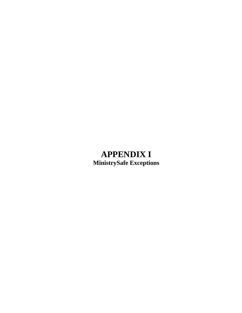## **APPENDIX I MinistrySafe Exceptions**